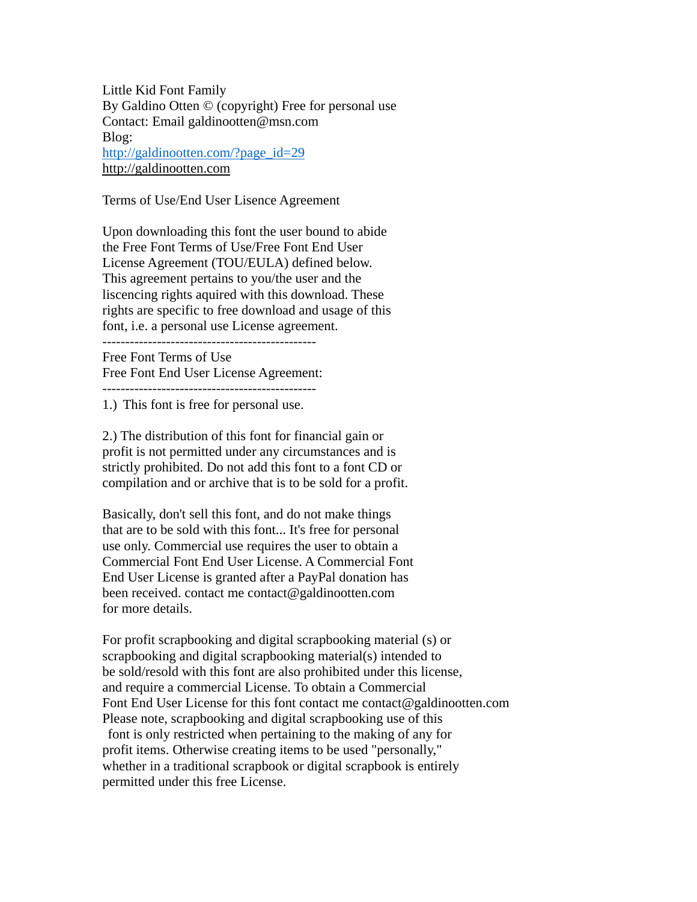Little Kid Font Family By Galdino Otten © (copyright) Free for personal use Contact: Email galdinootten@msn.com Blog: [http://galdinootten.com/?page\\_id=29](http://galdinootten.com/?page_id=29) [http://galdinootten.com](http://galdinootten.com/)

Terms of Use/End User Lisence Agreement

Upon downloading this font the user bound to abide the Free Font Terms of Use/Free Font End User License Agreement (TOU/EULA) defined below. This agreement pertains to you/the user and the liscencing rights aquired with this download. These rights are specific to free download and usage of this font, i.e. a personal use License agreement.

----------------------------------------------- Free Font Terms of Use

Free Font End User License Agreement:

-----------------------------------------------

1.) This font is free for personal use.

2.) The distribution of this font for financial gain or profit is not permitted under any circumstances and is strictly prohibited. Do not add this font to a font CD or compilation and or archive that is to be sold for a profit.

Basically, don't sell this font, and do not make things that are to be sold with this font... It's free for personal use only. Commercial use requires the user to obtain a Commercial Font End User License. A Commercial Font End User License is granted after a PayPal donation has been received. contact me contact@galdinootten.com for more details.

For profit scrapbooking and digital scrapbooking material (s) or scrapbooking and digital scrapbooking material(s) intended to be sold/resold with this font are also prohibited under this license, and require a commercial License. To obtain a Commercial Font End User License for this font contact me contact@galdinootten.com Please note, scrapbooking and digital scrapbooking use of this font is only restricted when pertaining to the making of any for profit items. Otherwise creating items to be used "personally," whether in a traditional scrapbook or digital scrapbook is entirely permitted under this free License.